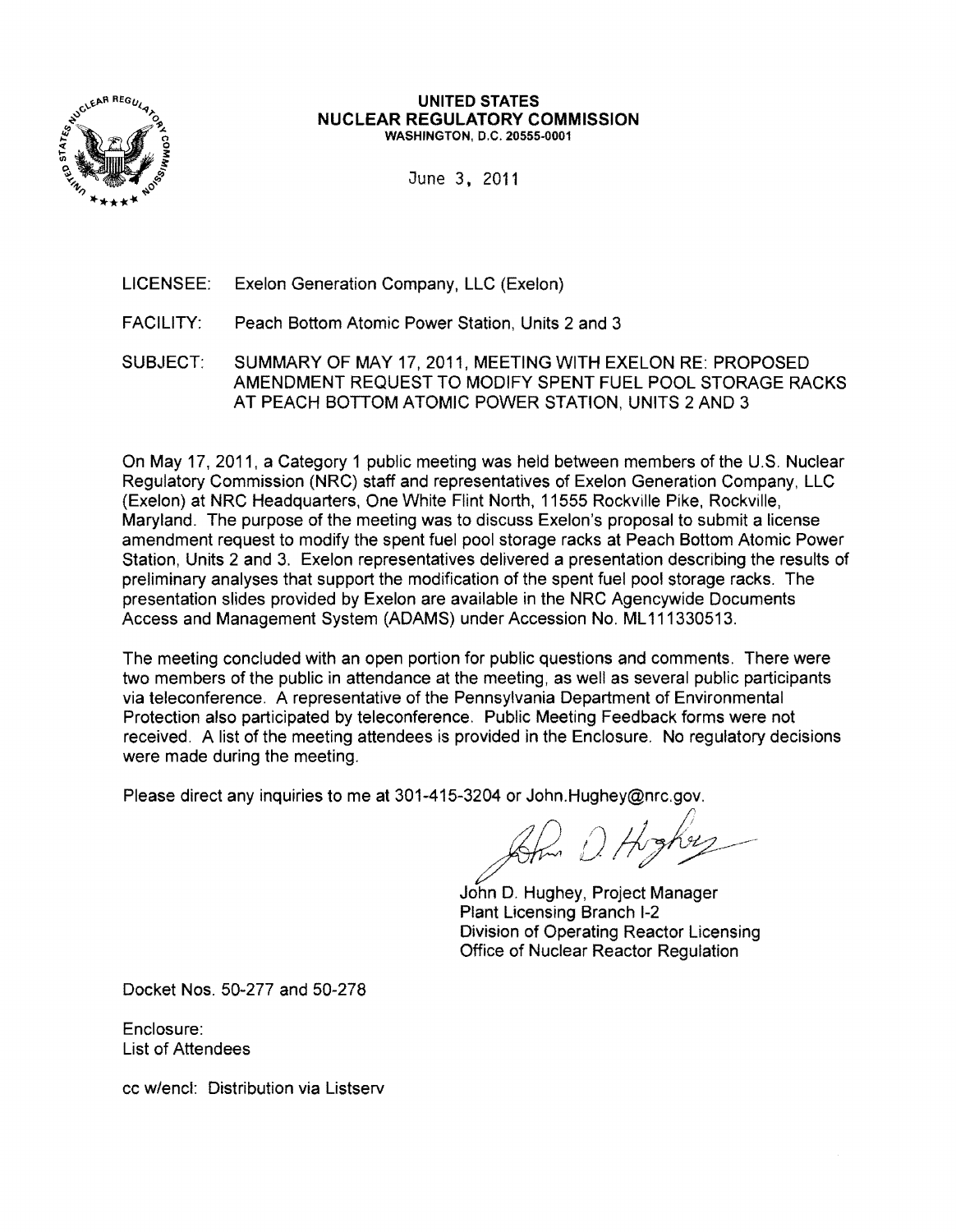

#### UNITED STATES NUCLEAR REGULATORY COMMISSION WASHINGTON, D.C. 20555·0001

June 3. 2011

- LICENSEE: Exelon Generation Company, LLC (Exelon)
- FACILITY: Peach Bottom Atomic Power Station, Units 2 and 3
- SUBJECT: SUMMARY OF MAY 17, 2011, MEETING WITH EXELON RE: PROPOSED AMENDMENT REQUEST TO MODIFY SPENT FUEL POOL STORAGE RACKS AT PEACH BOTTOM ATOMIC POWER STATION, UNITS 2 AND 3

On May 17, 2011, a Category 1 public meeting was held between members of the U.S. Nuclear Regulatory Commission (NRC) staff and representatives of Exelon Generation Company, LLC (Exelon) at NRC Headquarters, One White Flint North, 11555 Rockville Pike, Rockville, Maryland. The purpose of the meeting was to discuss Exelon's proposal to submit a license amendment request to modify the spent fuel pool storage racks at Peach Bottom Atomic Power Station, Units 2 and 3. Exelon representatives delivered a presentation describing the results of preliminary analyses that support the modification of the spent fuel pool storage racks. The presentation slides provided by Exelon are available in the NRC Agencywide Documents Access and Management System (ADAMS) under Accession No. ML 111330513.

The meeting concluded with an open portion for public questions and comments. There were two members of the public in attendance at the meeting, as well as several public participants via teleconference. A representative of the Pennsylvania Department of Environmental Protection also participated by teleconference. Public Meeting Feedback forms were not received. A list of the meeting attendees is provided in the Enclosure. No regulatory decisions were made during the meeting.

Please direct any inquiries to me at 301-415-3204 or John.Hughey@nrc.gov.

Am D. Hyhuy

John D. Hughey, Project Manager Plant Licensing Branch 1-2 Division of Operating Reactor Licensing Office of Nuclear Reactor Regulation

Docket Nos. 50-277 and 50-278

Enclosure: List of Attendees

cc w/encl: Distribution via Listserv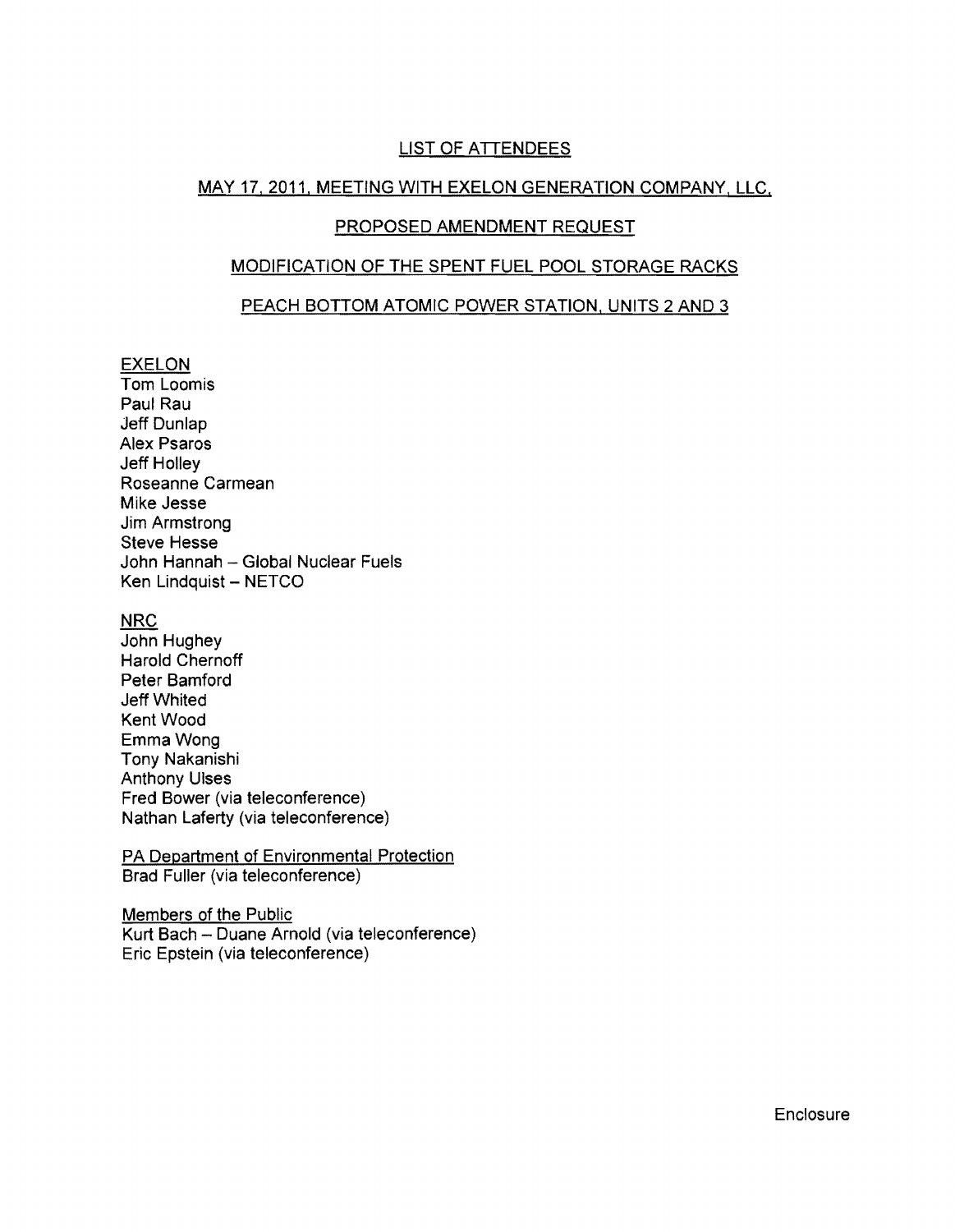# LIST OF ATTENDEES

## MAY 17, 2011, MEETING WITH EXELON GENERATION COMPANY, LLC,

# PROPOSED AMENDMENT REQUEST

# MODIFICATION OF THE SPENT FUEL POOL STORAGE RACKS

### PEACH BOTTOM ATOMIC POWER STATION, UNITS 2 AND 3

## EXELON

Tom Loomis Paul Rau Jeff Dunlap Alex Psaros Jeff Holley Roseanne Carmean Mike Jesse Jim Armstrong Steve Hesse John Hannah - Global Nuclear Fuels Ken Lindquist - NETCO

### NRC

John Hughey Harold Chernoff Peter Bamford Jeff Whited **Kent Wood** Emma Wong Tony Nakanishi Anthony Ulses Fred Bower (via teleconference) Nathan Laferty (via teleconference)

#### PA Department of Environmental Protection Brad Fuller (via teleconference)

Members of the Public Kurt Bach - Duane Arnold (via teleconference) Eric Epstein (via teleconference)